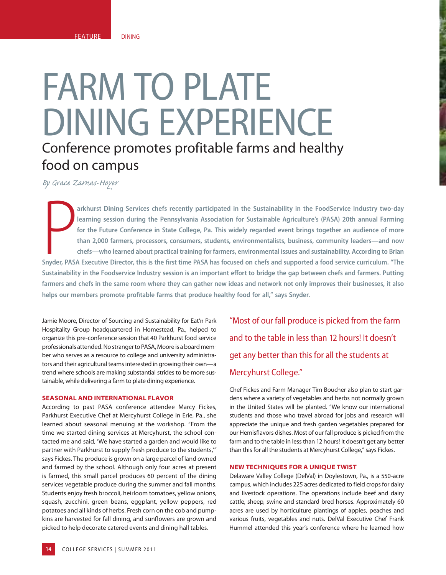## FARM TO PLATE DINING EXPERIENCE Conference promotes profitable farms and healthy food on campus

*By Grace Zarnas-Hoyer*

**Participality arkhurst Dining Services chefs recently participated in the Sustainability in the FoodService Industry two-day learning session during the Pennsylvania Association for Sustainable Agriculture's (PASA) 20th annual Farming for the Future Conference in State College, Pa. This widely regarded event brings together an audience of more than 2,000 farmers, processors, consumers, students, environmentalists, business, community leaders—and now chefs—who learned about practical training for farmers, environmental issues and sustainability. According to Brian**  Snyder, PASA Executive Director, this is the first time PASA has focused on chefs and supported a food service curriculum. "The Sustainability in the Foodservice Industry session is an important effort to bridge the gap between chefs and farmers. Putting **farmers and chefs in the same room where they can gather new ideas and network not only improves their businesses, it also**  helps our members promote profitable farms that produce healthy food for all," says Snyder.

Jamie Moore, Director of Sourcing and Sustainability for Eat'n Park Hospitality Group headquartered in Homestead, Pa., helped to organize this pre-conference session that 40 Parkhurst food service professionals attended. No stranger to PASA, Moore is a board member who serves as a resource to college and university administrators and their agricultural teams interested in growing their own—a trend where schools are making substantial strides to be more sustainable, while delivering a farm to plate dining experience.

## **SEASONAL AND INTERNATIONAL FLAVOR**

According to past PASA conference attendee Marcy Fickes, Parkhurst Executive Chef at Mercyhurst College in Erie, Pa., she learned about seasonal menuing at the workshop. "From the time we started dining services at Mercyhurst, the school contacted me and said, 'We have started a garden and would like to partner with Parkhurst to supply fresh produce to the students,'" says Fickes. The produce is grown on a large parcel of land owned and farmed by the school. Although only four acres at present is farmed, this small parcel produces 60 percent of the dining services vegetable produce during the summer and fall months. Students enjoy fresh broccoli, heirloom tomatoes, yellow onions, squash, zucchini, green beans, eggplant, yellow peppers, red potatoes and all kinds of herbs. Fresh corn on the cob and pumpkins are harvested for fall dining, and sunflowers are grown and picked to help decorate catered events and dining hall tables.

"Most of our fall produce is picked from the farm and to the table in less than 12 hours! It doesn't get any better than this for all the students at Mercyhurst College."

Chef Fickes and Farm Manager Tim Boucher also plan to start gardens where a variety of vegetables and herbs not normally grown in the United States will be planted. "We know our international students and those who travel abroad for jobs and research will appreciate the unique and fresh garden vegetables prepared for our Hemisflavors dishes. Most of our fall produce is picked from the farm and to the table in less than 12 hours! It doesn't get any better than this for all the students at Mercyhurst College," says Fickes.

## **NEW TECHNIQUES FOR A UNIQUE TWIST**

Delaware Valley College (DelVal) in Doylestown, Pa., is a 550-acre campus, which includes 225 acres dedicated to field crops for dairy and livestock operations. The operations include beef and dairy cattle, sheep, swine and standard bred horses. Approximately 60 acres are used by horticulture plantings of apples, peaches and various fruits, vegetables and nuts. DelVal Executive Chef Frank Hummel attended this year's conference where he learned how